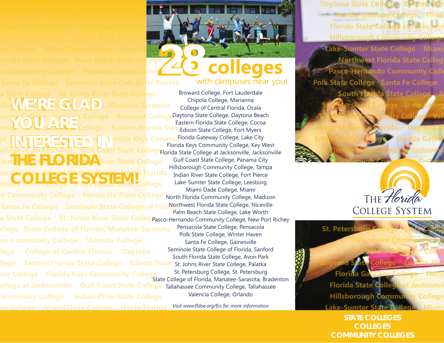**Florida Gateway College Florida Keys Community College Florida State State College at Jackson** College at Jacksonville Gulf Co<mark>ch Tot</mark> **Lilage Indian River State College Indian River State College Lake-Sumter State College Miami Dade College North Florida Norida State College Palm Beach State College Pasco-Hernando College Pensacola State College L** 

**St. AD**a, Manatee-S<mark>arasota</mark> **Tallahassee Community College Valencia College Broward College College Stroward College Stroward College List College Eastern Florida State EDESTED IN** Norida Keys Communication State College Florida Keys Communication College Florida College Florida<br> **interest State College Florida** *<u><b>Florida Gulf Coast State College* College</u> **Indian Foll GRIDA** River State College **Rade College Miami Pade College — North Florida COLLEGE SYSTEM!** Florid

**Santa Fe College Seminole State College of FlorNorthwest Florida State College, Niceville** llege Eastern Florida State College Edison State St. Johns River State College, Palatka **Florida Gateway College Florida Keys Community College Florida State College at Jacksonville Gulf Coast State College** 



Broward College, Fort Lauderdale Chipola College, Marianna College of Central Florida, Ocala Daytona State College, Daytona Beach Eastern Florida State College, Cocoa Edison State College, Fort Myers Florida Gateway College, Lake City Florida Keys Community College, Key West Florida State College at Jacksonville, Jacksonville Gulf Coast State College, Panama City Hillsborough Community College, Tampa Indian River State College, Fort Pierce Lake-Sumter State College, Leesburg Miami Dade College, Miami

North Florida Community College, Madison Palm Beach State College, Lake Worth Pasco-Hernando Community College, New Port Richey Pensacola State College, Pensacola Polk State College, Winter Haven Santa Fe College, Gainesville Seminole State College of Florida, Sanford South Florida State College, Avon Park St. Petersburg College, St. Petersburg State College of Florida, Manatee-Sarasota, Bradenton Tallahassee Community College, Tallahassee Valencia College, Orlando

*Visit www.fldoe.org/fcs for more information* 

**Daytona State College Eastern Flor Florida Gateway College Florid Florida State College at Jacksonvi Hillsborough Community College Lake-Sumter State College No. Northwest Florida State Co Pasco-Hernando Community** 

 **South Florida State College** St. **Petersburg College State Colleg Tallahassee Community College Valencia College Broward College College of Central Florida Daytona State Edison State College Florida Gatew Florida State College at Jacksonville Gulf Coast State College** 

**Polk State College Santa Fe Colle** 



**Tallahassee Community College Valencia College College College Daytona State College Eastern Flor Florida Gateway College Florid Florida State Colle Hillsborough Commun Lake-Sumter State College Miami Dade College North Florida state Colleges Colleges** 

**Community Colleges** 

**St. Peters**